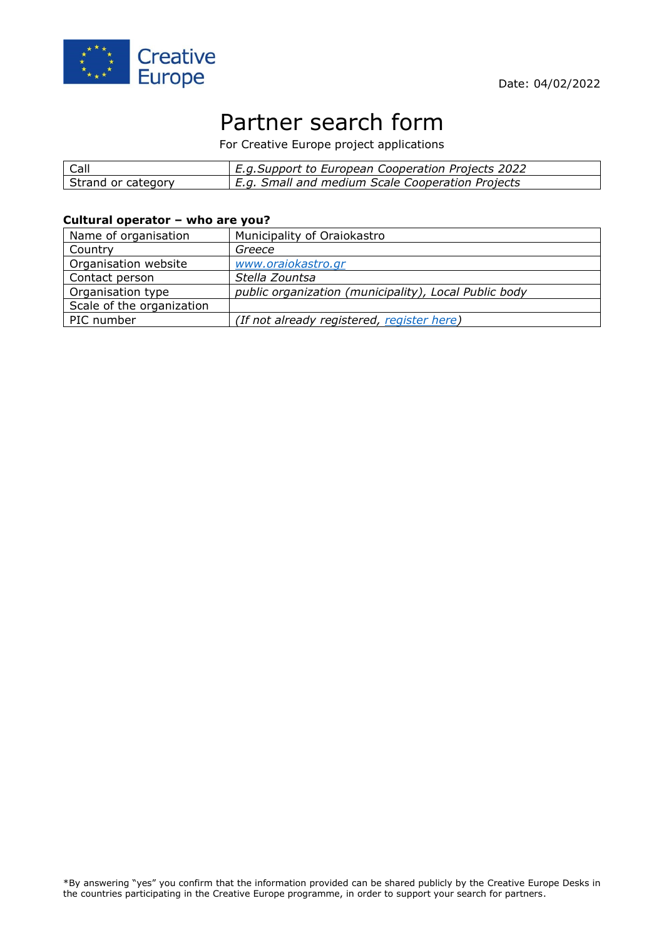



# Partner search form

For Creative Europe project applications

| Call               | E.g.Support to European Cooperation Projects 2022 |
|--------------------|---------------------------------------------------|
| Strand or category | E.g. Small and medium Scale Cooperation Projects  |

#### **Cultural operator – who are you?**

| Name of organisation      | Municipality of Oraiokastro                           |
|---------------------------|-------------------------------------------------------|
| Country                   | Greece                                                |
| Organisation website      | www.oraiokastro.gr                                    |
| Contact person            | Stella Zountsa                                        |
| Organisation type         | public organization (municipality), Local Public body |
| Scale of the organization |                                                       |
| PIC number                | (If not already registered, register here)            |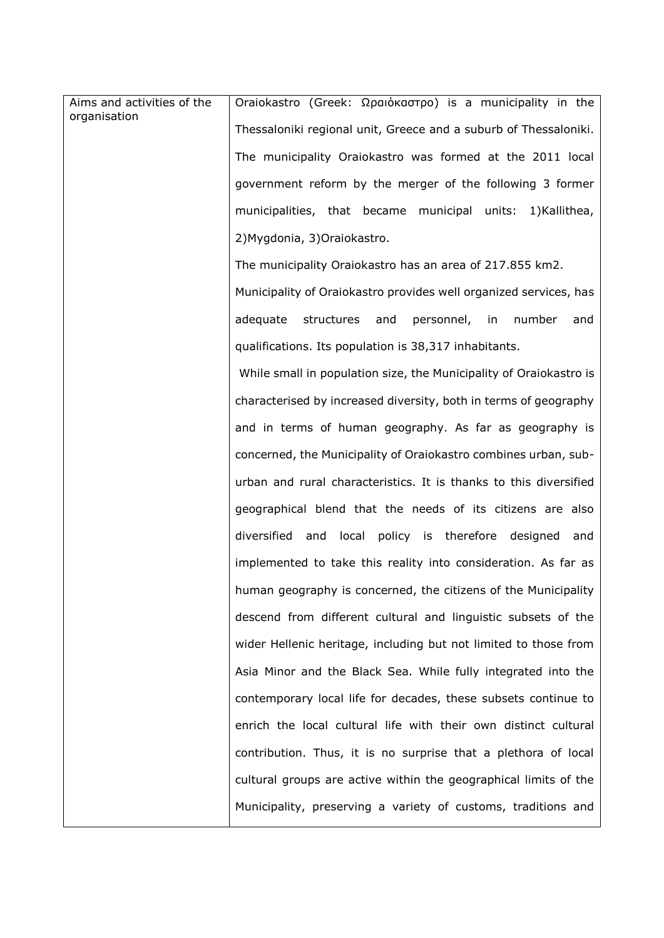| Aims and activities of the<br>organisation | Oraiokastro (Greek: Ωραιόκαστρο) is a municipality in the          |
|--------------------------------------------|--------------------------------------------------------------------|
|                                            | Thessaloniki regional unit, Greece and a suburb of Thessaloniki.   |
|                                            | The municipality Oraiokastro was formed at the 2011 local          |
|                                            | government reform by the merger of the following 3 former          |
|                                            | municipalities, that became municipal units:<br>1)Kallithea,       |
|                                            | 2) Mygdonia, 3) Oraiokastro.                                       |
|                                            | The municipality Oraiokastro has an area of 217.855 km2.           |
|                                            | Municipality of Oraiokastro provides well organized services, has  |
|                                            | adequate structures and<br>personnel, in<br>number<br>and          |
|                                            | qualifications. Its population is 38,317 inhabitants.              |
|                                            | While small in population size, the Municipality of Oraiokastro is |
|                                            | characterised by increased diversity, both in terms of geography   |
|                                            | and in terms of human geography. As far as geography is            |
|                                            | concerned, the Municipality of Oraiokastro combines urban, sub-    |
|                                            | urban and rural characteristics. It is thanks to this diversified  |
|                                            | geographical blend that the needs of its citizens are also         |
|                                            | diversified<br>and<br>local policy is therefore designed<br>and    |
|                                            | implemented to take this reality into consideration. As far as     |
|                                            | human geography is concerned, the citizens of the Municipality     |
|                                            | descend from different cultural and linguistic subsets of the      |
|                                            | wider Hellenic heritage, including but not limited to those from   |
|                                            | Asia Minor and the Black Sea. While fully integrated into the      |
|                                            | contemporary local life for decades, these subsets continue to     |
|                                            | enrich the local cultural life with their own distinct cultural    |
|                                            | contribution. Thus, it is no surprise that a plethora of local     |
|                                            | cultural groups are active within the geographical limits of the   |
|                                            | Municipality, preserving a variety of customs, traditions and      |